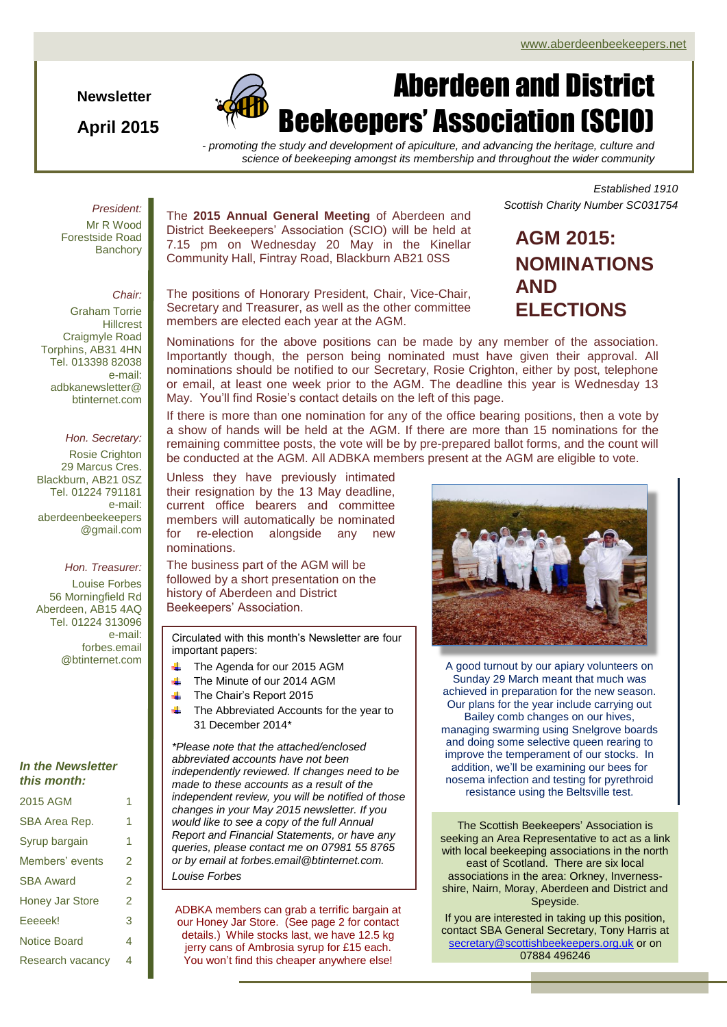*Scottish Charity Number SC031754*

*Established 1910*

**Newsletter**

**April 2015**



# Aberdeen and District Beekeepers' Association (SCIO)

*- promoting the study and development of apiculture, and advancing the heritage, culture and science of beekeeping amongst its membership and throughout the wider community*

## *President:*

Mr R Wood Forestside Road **Banchory** 

## *Chair:*

Graham Torrie **Hillcrest** Craigmyle Road Torphins, AB31 4HN Tel. 013398 82038 e-mail: adbkanewsletter@ btinternet.com

#### *Hon. Secretary:*

Rosie Crighton 29 Marcus Cres. Blackburn, AB21 0SZ Tel. 01224 791181 e-mail: aberdeenbeekeepers @gmail.com

## *Hon. Treasurer:*

Louise Forbes 56 Morningfield Rd Aberdeen, AB15 4AQ Tel. 01224 313096 e-mail: forbes.email @btinternet.com

#### *In the Newsletter this month:*

| 2015 AGM               | 1 |
|------------------------|---|
| SBA Area Rep.          | 1 |
| Syrup bargain          | 1 |
| Members' events        | 2 |
| <b>SBA Award</b>       | 2 |
| <b>Honey Jar Store</b> | 2 |
| Eeeeek!                | 3 |
| <b>Notice Board</b>    | 4 |
| Research vacancy       | 4 |

The **2015 Annual General Meeting** of Aberdeen and District Beekeepers' Association (SCIO) will be held at 7.15 pm on Wednesday 20 May in the Kinellar Community Hall, Fintray Road, Blackburn AB21 0SS

The positions of Honorary President, Chair, Vice-Chair, Secretary and Treasurer, as well as the other committee members are elected each year at the AGM.

**AGM 2015:**

**NOMINATIONS AND ELECTIONS**

Nominations for the above positions can be made by any member of the association. Importantly though, the person being nominated must have given their approval. All nominations should be notified to our Secretary, Rosie Crighton, either by post, telephone or email, at least one week prior to the AGM. The deadline this year is Wednesday 13 May. You'll find Rosie's contact details on the left of this page.

If there is more than one nomination for any of the office bearing positions, then a vote by a show of hands will be held at the AGM. If there are more than 15 nominations for the remaining committee posts, the vote will be by pre-prepared ballot forms, and the count will be conducted at the AGM. All ADBKA members present at the AGM are eligible to vote.

.Unless they have previously intimated their resignation by the 13 May deadline, current office bearers and committee members will automatically be nominated for re-election alongside any new nominations.

The business part of the AGM will be followed by a short presentation on the history of Aberdeen and District Beekeepers' Association.

Circulated with this month's Newsletter are four important papers:

- The Agenda for our 2015 AGM
- The Minute of our 2014 AGM
- The Chair's Report 2015
- The Abbreviated Accounts for the year to 31 December 2014\*

*\*Please note that the attached/enclosed abbreviated accounts have not been independently reviewed. If changes need to be made to these accounts as a result of the independent review, you will be notified of those changes in your May 2015 newsletter. If you would like to see a copy of the full Annual Report and Financial Statements, or have any queries, please contact me on 07981 55 8765 or by email at forbes.email@btinternet.com. Louise Forbes*

ADBKA members can grab a terrific bargain at our Honey Jar Store. (See page 2 for contact details.) While stocks last, we have 12.5 kg jerry cans of Ambrosia syrup for £15 each. You won't find this cheaper anywhere else!



A good turnout by our apiary volunteers on Sunday 29 March meant that much was achieved in preparation for the new season. Our plans for the year include carrying out Bailey comb changes on our hives, managing swarming using Snelgrove boards and doing some selective queen rearing to improve the temperament of our stocks. In addition, we'll be examining our bees for nosema infection and testing for pyrethroid resistance using the Beltsville test.

The Scottish Beekeepers' Association is seeking an Area Representative to act as a link with local beekeeping associations in the north east of Scotland. There are six local associations in the area: Orkney, Invernessshire, Nairn, Moray, Aberdeen and District and Speyside.

If you are interested in taking up this position, contact SBA General Secretary, Tony Harris at [secretary@scottishbeekeepers.org.uk](mailto:secretary@scottishbeekeepers.org.uk) or on 07884 496246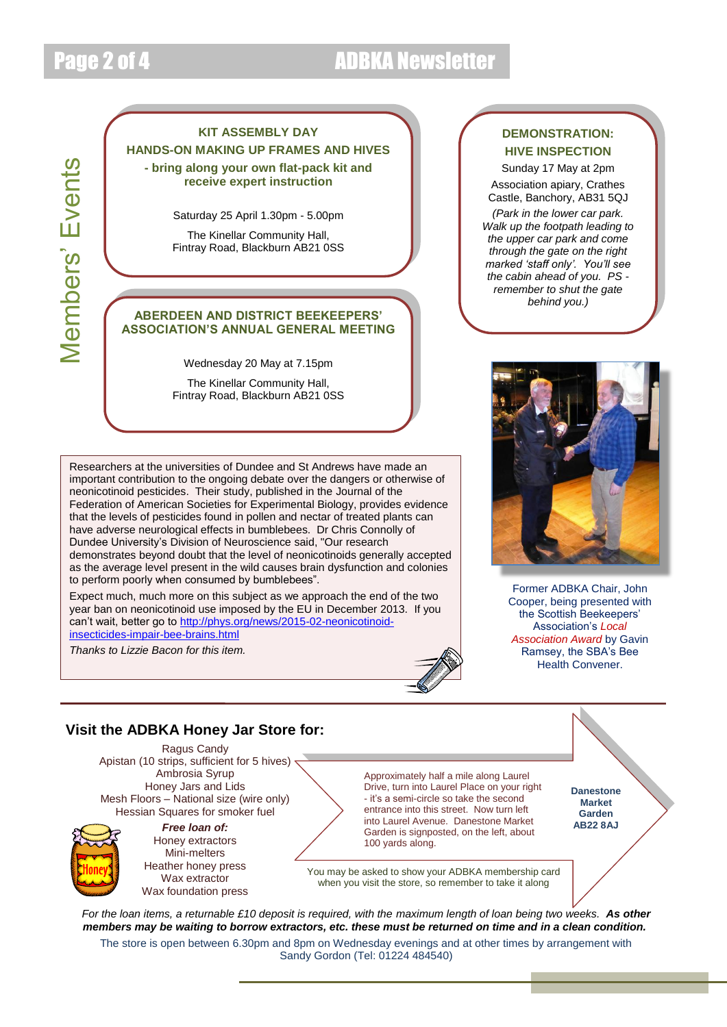# Page 2 of 4 ADBKA Newsletter

# **Members' Events** Members' Events

# **KIT ASSEMBLY DAY HANDS-ON MAKING UP FRAMES AND HIVES - bring along your own flat-pack kit and receive expert instruction**

Saturday 25 April 1.30pm - 5.00pm

The Kinellar Community Hall, Fintray Road, Blackburn AB21 0SS

# **ABERDEEN AND DISTRICT BEEKEEPERS' ASSOCIATION'S ANNUAL GENERAL MEETING**

Wednesday 20 May at 7.15pm

The Kinellar Community Hall, Fintray Road, Blackburn AB21 0SS

Researchers at the universities of Dundee and St Andrews have made an important contribution to the ongoing debate over the dangers or otherwise of neonicotinoid pesticides. Their study, published in the Journal of the Federation of American Societies for Experimental Biology, provides evidence that the levels of pesticides found in pollen and nectar of treated plants can have adverse neurological effects in bumblebees. Dr Chris Connolly of Dundee University's Division of Neuroscience said, "Our research demonstrates beyond doubt that the level of neonicotinoids generally accepted as the average level present in the wild causes brain dysfunction and colonies to perform poorly when consumed by bumblebees".

Expect much, much more on this subject as we approach the end of the two year ban on neonicotinoid use imposed by the EU in December 2013. If you can't wait, better go to [http://phys.org/news/2015-02-neonicotinoid](http://phys.org/news/2015-02-neonicotinoid-insecticides-impair-bee-brains.html)[insecticides-impair-bee-brains.html](http://phys.org/news/2015-02-neonicotinoid-insecticides-impair-bee-brains.html)

*Thanks to Lizzie Bacon for this item.*

# **DEMONSTRATION: HIVE INSPECTION**

Sunday 17 May at 2pm Association apiary, Crathes Castle, Banchory, AB31 5QJ

*(Park in the lower car park. Walk up the footpath leading to the upper car park and come through the gate on the right marked 'staff only'. You'll see the cabin ahead of you. PS remember to shut the gate behind you.)*



Former ADBKA Chair, John Cooper, being presented with the Scottish Beekeepers' Association's *Local Association Award* by Gavin Ramsey, the SBA's Bee Health Convener.

# **Visit the ADBKA Honey Jar Store for:**

Ragus Candy Apistan (10 strips, sufficient for 5 hives) < Ambrosia Syrup Honey Jars and Lids Mesh Floors – National size (wire only) Hessian Squares for smoker fuel



*Free loan of:* Honey extractors Mini-melters Heather honey press Wax extractor Wax foundation press Approximately half a mile along Laurel Drive, turn into Laurel Place on your right - it's a semi-circle so take the second entrance into this street. Now turn left into Laurel Avenue. Danestone Market Garden is signposted, on the left, about 100 yards along.

**Danestone Market Garden AB22 8AJ**

You may be asked to show your ADBKA membership card when you visit the store, so remember to take it along

*For the loan items, a returnable £10 deposit is required, with the maximum length of loan being two weeks. As other members may be waiting to borrow extractors, etc. these must be returned on time and in a clean condition.*

The store is open between 6.30pm and 8pm on Wednesday evenings and at other times by arrangement with Sandy Gordon (Tel: 01224 484540)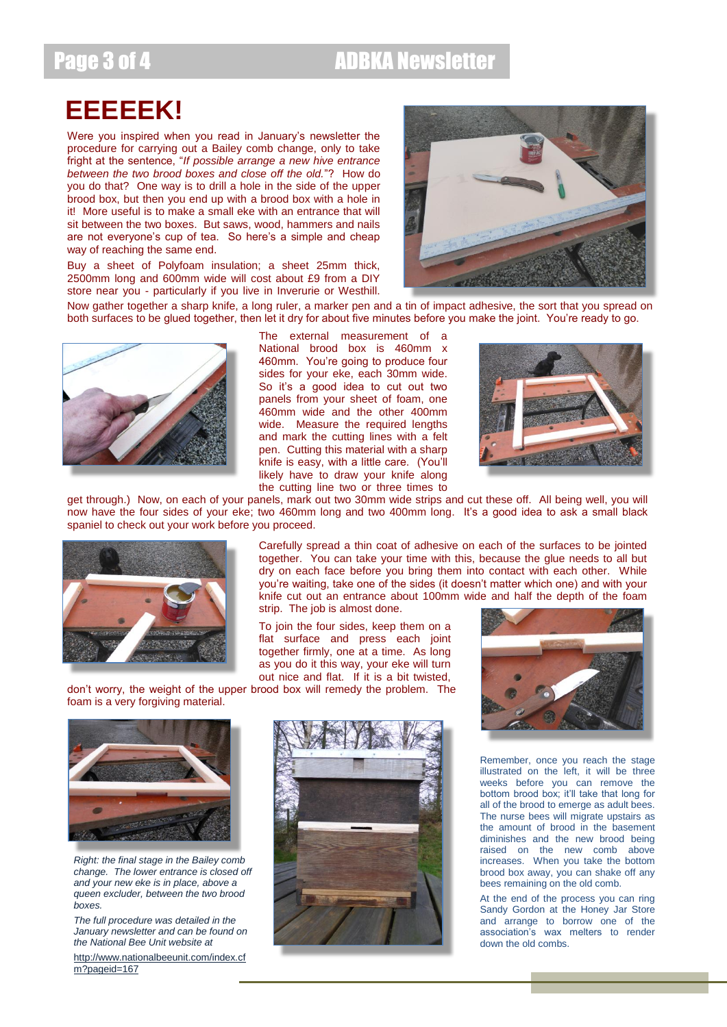# Page 3 of 4 ADBKA Newsletter

# **EEEEEK!**

Were you inspired when you read in January's newsletter the procedure for carrying out a Bailey comb change, only to take fright at the sentence, "*If possible arrange a new hive entrance between the two brood boxes and close off the old.*"? How do you do that? One way is to drill a hole in the side of the upper brood box, but then you end up with a brood box with a hole in it! More useful is to make a small eke with an entrance that will sit between the two boxes. But saws, wood, hammers and nails are not everyone's cup of tea. So here's a simple and cheap way of reaching the same end.

Buy a sheet of Polyfoam insulation; a sheet 25mm thick, 2500mm long and 600mm wide will cost about £9 from a DIY store near you - particularly if you live in Inverurie or Westhill.



Now gather together a sharp knife, a long ruler, a marker pen and a tin of impact adhesive, the sort that you spread on both surfaces to be glued together, then let it dry for about five minutes before you make the joint. You're ready to go.



The external measurement of a National brood box is 460mm x 460mm. You're going to produce four sides for your eke, each 30mm wide. So it's a good idea to cut out two panels from your sheet of foam, one 460mm wide and the other 400mm wide. Measure the required lengths and mark the cutting lines with a felt pen. Cutting this material with a sharp knife is easy, with a little care. (You'll likely have to draw your knife along the cutting line two or three times to



get through.) Now, on each of your panels, mark out two 30mm wide strips and cut these off. All being well, you will now have the four sides of your eke; two 460mm long and two 400mm long. It's a good idea to ask a small black spaniel to check out your work before you proceed.



Carefully spread a thin coat of adhesive on each of the surfaces to be jointed together. You can take your time with this, because the glue needs to all but dry on each face before you bring them into contact with each other. While you're waiting, take one of the sides (it doesn't matter which one) and with your knife cut out an entrance about 100mm wide and half the depth of the foam strip. The job is almost done.

To join the four sides, keep them on a flat surface and press each joint together firmly, one at a time. As long as you do it this way, your eke will turn out nice and flat. If it is a bit twisted,

don't worry, the weight of the upper brood box will remedy the problem. The foam is a very forgiving material.



*Right: the final stage in the Bailey comb change. The lower entrance is closed off and your new eke is in place, above a queen excluder, between the two brood boxes.*

*The full procedure was detailed in the January newsletter and can be found on the National Bee Unit website at* 

[http://www.nationalbeeunit.com/index.cf](http://www.nationalbeeunit.com/index.cfm?pageid=167) [m?pageid=167](http://www.nationalbeeunit.com/index.cfm?pageid=167)





Remember, once you reach the stage illustrated on the left, it will be three weeks before you can remove the bottom brood box; it'll take that long for all of the brood to emerge as adult bees. The nurse bees will migrate upstairs as the amount of brood in the basement diminishes and the new brood being raised on the new comb above increases. When you take the bottom brood box away, you can shake off any bees remaining on the old comb.

At the end of the process you can ring Sandy Gordon at the Honey Jar Store and arrange to borrow one of the association's wax melters to render down the old combs.